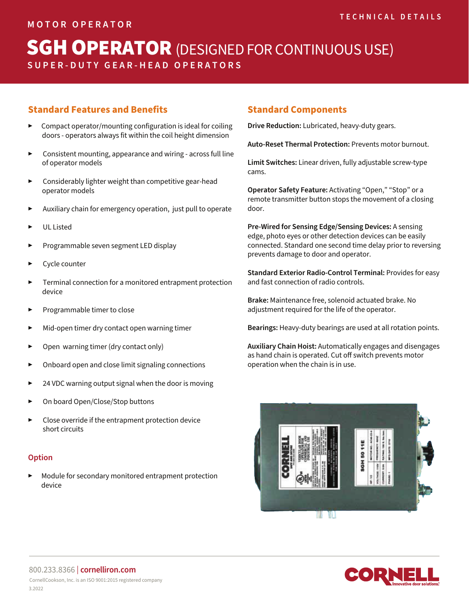# **SGH OPERATOR** (DESIGNED FOR CONTINUOUS USE) **SUPER-DUTY GEAR-HEAD OPERATORS**

### **Standard Features and Benefits**

- ▶ Compact operator/mounting configuration is ideal for coiling doors - operators always fit within the coil height dimension
- ▶ Consistent mounting, appearance and wiring across full line of operator models
- ▶ Considerably lighter weight than competitive gear-head operator models
- Auxiliary chain for emergency operation, just pull to operate
- UL Listed
- ▶ Programmable seven segment LED display
- Cycle counter
- Terminal connection for a monitored entrapment protection device
- ▶ Programmable timer to close
- Mid-open timer dry contact open warning timer
- Open warning timer (dry contact only)
- Onboard open and close limit signaling connections
- 24 VDC warning output signal when the door is moving
- On board Open/Close/Stop buttons
- Close override if the entrapment protection device short circuits

#### **Option**

Module for secondary monitored entrapment protection device

#### **Standard Components**

**Drive Reduction:** Lubricated, heavy-duty gears.

**Auto-Reset Thermal Protection:** Prevents motor burnout.

**Limit Switches:** Linear driven, fully adjustable screw-type cams.

**Operator Safety Feature:** Activating "Open," "Stop" or a remote transmitter button stops the movement of a closing door.

**Pre-Wired for Sensing Edge/Sensing Devices:** A sensing edge, photo eyes or other detection devices can be easily connected. Standard one second time delay prior to reversing prevents damage to door and operator.

**Standard Exterior Radio-Control Terminal:** Provides for easy and fast connection of radio controls.

**Brake:** Maintenance free, solenoid actuated brake. No adjustment required for the life of the operator.

**Bearings:** Heavy-duty bearings are used at all rotation points.

**Auxiliary Chain Hoist:** Automatically engages and disengages as hand chain is operated. Cut off switch prevents motor operation when the chain is in use.